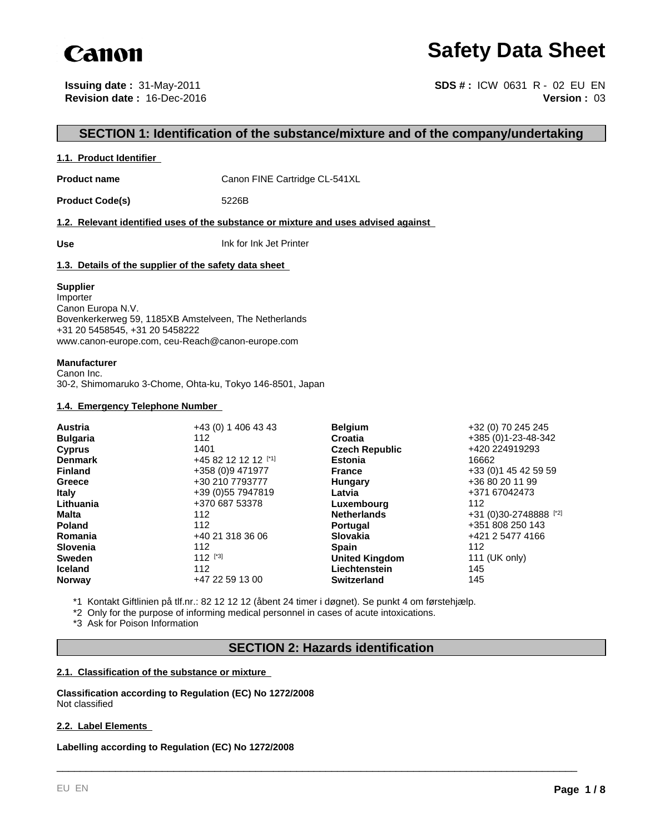

# **Safety Data Sheet**

**Issuing date :** 31-May-2011 **Revision date :** 16-Dec-2016

**Version :** 03 **SDS # :** ICW 0631 R - 02 EU EN

# **SECTION 1: Identification of the substance/mixture and of the company/undertaking**

#### **1.1. Product Identifier**

**Product name** Canon FINE Cartridge CL-541XL

Product Code(s) 5226B

**1.2. Relevant identified uses of the substance or mixture and uses advised against** 

**Use** Ink for Ink Jet Printer

#### **1.3. Details of the supplier of the safety data sheet**

#### **Supplier**

Importer Canon Europa N.V. Bovenkerkerweg 59, 1185XB Amstelveen, The Netherlands +31 20 5458545, +31 20 5458222 www.canon-europe.com, ceu-Reach@canon-europe.com

#### **Manufacturer**

Canon Inc. 30-2, Shimomaruko 3-Chome, Ohta-ku, Tokyo 146-8501, Japan

#### **1.4. Emergency Telephone Number**

| <b>Austria</b>  | +43 (0) 1 406 43 43 | <b>Belgium</b>        | +32 (0) 70 245 245     |
|-----------------|---------------------|-----------------------|------------------------|
| <b>Bulgaria</b> | 112                 | Croatia               | +385 (0)1-23-48-342    |
| <b>Cyprus</b>   | 1401                | <b>Czech Republic</b> | +420 224919293         |
| <b>Denmark</b>  | +45 82 12 12 12 [1] | <b>Estonia</b>        | 16662                  |
| <b>Finland</b>  | +358 (0)9 471977    | <b>France</b>         | +33 (0) 1 45 42 59 59  |
| Greece          | +30 210 7793777     | Hungary               | +36 80 20 11 99        |
| <b>Italy</b>    | +39 (0) 55 7947819  | Latvia                | +371 67042473          |
| Lithuania       | +370 687 53378      | Luxembourg            | 112                    |
| Malta           | 112                 | <b>Netherlands</b>    | +31 (0)30-2748888 [*2] |
| <b>Poland</b>   | 112                 | <b>Portugal</b>       | +351 808 250 143       |
| Romania         | +40 21 318 36 06    | <b>Slovakia</b>       | +421 2 5477 4166       |
| <b>Slovenia</b> | 112                 | <b>Spain</b>          | 112                    |
| <b>Sweden</b>   | $112$ [*3]          | <b>United Kingdom</b> | 111 (UK only)          |
| <b>Iceland</b>  | 112                 | Liechtenstein         | 145                    |
| <b>Norway</b>   | +47 22 59 13 00     | <b>Switzerland</b>    | 145                    |

\*1 Kontakt Giftlinien på tlf.nr.: 82 12 12 12 (åbent 24 timer i døgnet). Se punkt 4 om førstehjælp.

\*2 Only for the purpose of informing medical personnel in cases of acute intoxications.

\*3 Ask for Poison Information

# **SECTION 2: Hazards identification**

\_\_\_\_\_\_\_\_\_\_\_\_\_\_\_\_\_\_\_\_\_\_\_\_\_\_\_\_\_\_\_\_\_\_\_\_\_\_\_\_\_\_\_\_\_\_\_\_\_\_\_\_\_\_\_\_\_\_\_\_\_\_\_\_\_\_\_\_\_\_\_\_\_\_\_\_\_\_\_\_\_\_\_\_\_\_\_\_\_

#### **2.1. Classification of the substance or mixture**

**Classification according to Regulation (EC) No 1272/2008** Not classified

#### **2.2. Label Elements**

**Labelling according to Regulation (EC) No 1272/2008**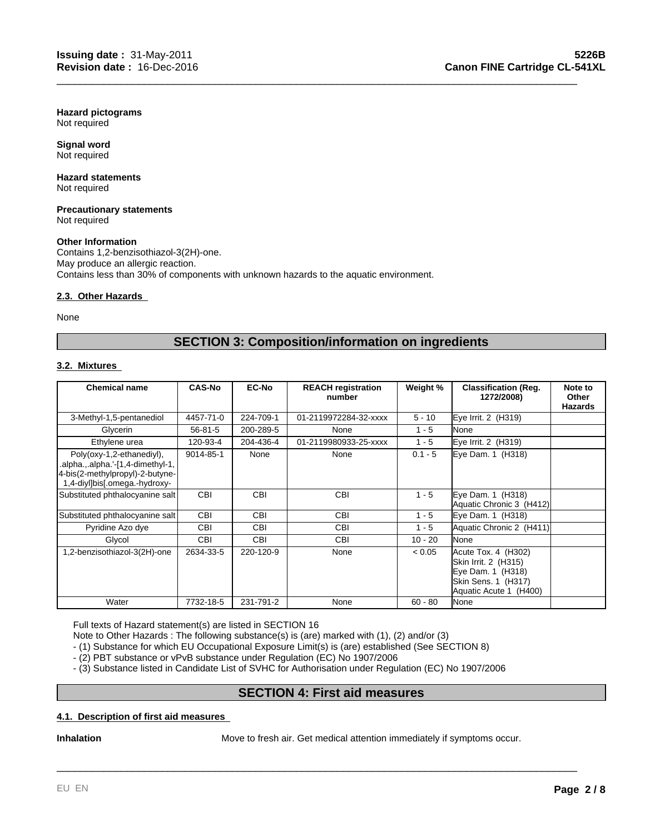**Hazard pictograms** Not required

**Signal word** Not required

#### **Hazard statements** Not required

**Precautionary statements** Not required

#### **Other Information**

Contains 1,2-benzisothiazol-3(2H)-one. May produce an allergic reaction. Contains less than 30% of components with unknown hazards to the aquatic environment.

#### **2.3. Other Hazards**

None

# **SECTION 3: Composition/information on ingredients**

\_\_\_\_\_\_\_\_\_\_\_\_\_\_\_\_\_\_\_\_\_\_\_\_\_\_\_\_\_\_\_\_\_\_\_\_\_\_\_\_\_\_\_\_\_\_\_\_\_\_\_\_\_\_\_\_\_\_\_\_\_\_\_\_\_\_\_\_\_\_\_\_\_\_\_\_\_\_\_\_\_\_\_\_\_\_\_\_\_

### **3.2. Mixtures**

| <b>Chemical name</b>                                                                                                               | <b>CAS-No</b> | <b>EC-No</b> | <b>REACH registration</b><br>number | Weight %  | <b>Classification (Reg.</b><br>1272/2008)                                                                         | Note to<br>Other<br><b>Hazards</b> |
|------------------------------------------------------------------------------------------------------------------------------------|---------------|--------------|-------------------------------------|-----------|-------------------------------------------------------------------------------------------------------------------|------------------------------------|
| 3-Methyl-1,5-pentanediol                                                                                                           | 4457-71-0     | 224-709-1    | 01-2119972284-32-xxxx               | $5 - 10$  | Eye Irrit. 2 (H319)                                                                                               |                                    |
| Glycerin                                                                                                                           | $56 - 81 - 5$ | 200-289-5    | None                                | $1 - 5$   | None                                                                                                              |                                    |
| Ethylene urea                                                                                                                      | 120-93-4      | 204-436-4    | 01-2119980933-25-xxxx               | $1 - 5$   | Eye Irrit. 2 (H319)                                                                                               |                                    |
| Poly(oxy-1,2-ethanediyl),<br>.alpha.,.alpha.'-[1,4-dimethyl-1,<br>4-bis(2-methylpropyl)-2-butyne-<br>1,4-diyl]bis[.omega.-hydroxy- | 9014-85-1     | None         | None                                | $0.1 - 5$ | Eye Dam. 1 (H318)                                                                                                 |                                    |
| Substituted phthalocyanine salt                                                                                                    | <b>CBI</b>    | <b>CBI</b>   | <b>CBI</b>                          | $1 - 5$   | Eye Dam. 1 (H318)<br>Aquatic Chronic 3 (H412)                                                                     |                                    |
| Substituted phthalocyanine salt                                                                                                    | <b>CBI</b>    | <b>CBI</b>   | <b>CBI</b>                          | $1 - 5$   | Eye Dam. 1 (H318)                                                                                                 |                                    |
| Pyridine Azo dye                                                                                                                   | CBI           | <b>CBI</b>   | <b>CBI</b>                          | $1 - 5$   | Aquatic Chronic 2 (H411)                                                                                          |                                    |
| Glycol                                                                                                                             | <b>CBI</b>    | <b>CBI</b>   | <b>CBI</b>                          | $10 - 20$ | None                                                                                                              |                                    |
| 1,2-benzisothiazol-3(2H)-one                                                                                                       | 2634-33-5     | 220-120-9    | None                                | < 0.05    | Acute Tox. 4 (H302)<br>Skin Irrit. 2 (H315)<br>Eye Dam. 1 (H318)<br>Skin Sens. 1 (H317)<br>Aquatic Acute 1 (H400) |                                    |
| Water                                                                                                                              | 7732-18-5     | 231-791-2    | None                                | $60 - 80$ | None                                                                                                              |                                    |

Full texts of Hazard statement(s) are listed in SECTION 16

Note to Other Hazards : The following substance(s) is (are) marked with (1), (2) and/or (3)

- (1) Substance for which EU Occupational Exposure Limit(s) is (are) established (See SECTION 8)

- (2) PBT substance or vPvB substance under Regulation (EC) No 1907/2006

- (3) Substance listed in Candidate List of SVHC for Authorisation under Regulation (EC) No 1907/2006

# **SECTION 4: First aid measures**

### **4.1. Description of first aid measures**

**Inhalation** Move to fresh air. Get medical attention immediately if symptoms occur.

\_\_\_\_\_\_\_\_\_\_\_\_\_\_\_\_\_\_\_\_\_\_\_\_\_\_\_\_\_\_\_\_\_\_\_\_\_\_\_\_\_\_\_\_\_\_\_\_\_\_\_\_\_\_\_\_\_\_\_\_\_\_\_\_\_\_\_\_\_\_\_\_\_\_\_\_\_\_\_\_\_\_\_\_\_\_\_\_\_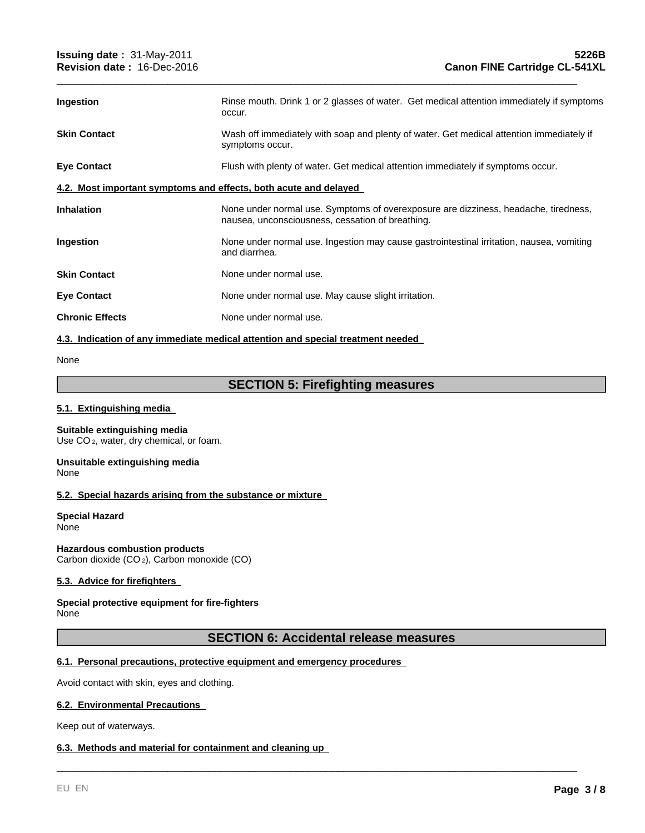| <b>Ingestion</b>                                                 | Rinse mouth. Drink 1 or 2 glasses of water. Get medical attention immediately if symptoms<br>occur.                                     |  |  |  |
|------------------------------------------------------------------|-----------------------------------------------------------------------------------------------------------------------------------------|--|--|--|
| <b>Skin Contact</b>                                              | Wash off immediately with soap and plenty of water. Get medical attention immediately if<br>symptoms occur.                             |  |  |  |
| <b>Eye Contact</b>                                               | Flush with plenty of water. Get medical attention immediately if symptoms occur.                                                        |  |  |  |
| 4.2. Most important symptoms and effects, both acute and delayed |                                                                                                                                         |  |  |  |
| <b>Inhalation</b>                                                | None under normal use. Symptoms of overexposure are dizziness, headache, tiredness,<br>nausea, unconsciousness, cessation of breathing. |  |  |  |
| Ingestion                                                        | None under normal use. Ingestion may cause gastrointestinal irritation, nausea, vomiting<br>and diarrhea.                               |  |  |  |
| <b>Skin Contact</b>                                              | None under normal use.                                                                                                                  |  |  |  |
| <b>Eye Contact</b>                                               | None under normal use. May cause slight irritation.                                                                                     |  |  |  |
| <b>Chronic Effects</b>                                           | None under normal use.                                                                                                                  |  |  |  |
|                                                                  |                                                                                                                                         |  |  |  |

\_\_\_\_\_\_\_\_\_\_\_\_\_\_\_\_\_\_\_\_\_\_\_\_\_\_\_\_\_\_\_\_\_\_\_\_\_\_\_\_\_\_\_\_\_\_\_\_\_\_\_\_\_\_\_\_\_\_\_\_\_\_\_\_\_\_\_\_\_\_\_\_\_\_\_\_\_\_\_\_\_\_\_\_\_\_\_\_\_

#### **4.3. Indication of any immediate medical attention and special treatment needed**

None

# **SECTION 5: Firefighting measures**

#### **5.1. Extinguishing media**

#### **Suitable extinguishing media** Use CO<sub>2</sub>, water, dry chemical, or foam.

#### **Unsuitable extinguishing media** None

# **5.2. Special hazards arising from the substance or mixture**

**Special Hazard None** 

**Hazardous combustion products** Carbon dioxide (CO 2), Carbon monoxide (CO)

# **5.3. Advice for firefighters**

#### **Special protective equipment for fire-fighters** None

# **SECTION 6: Accidental release measures**

\_\_\_\_\_\_\_\_\_\_\_\_\_\_\_\_\_\_\_\_\_\_\_\_\_\_\_\_\_\_\_\_\_\_\_\_\_\_\_\_\_\_\_\_\_\_\_\_\_\_\_\_\_\_\_\_\_\_\_\_\_\_\_\_\_\_\_\_\_\_\_\_\_\_\_\_\_\_\_\_\_\_\_\_\_\_\_\_\_

# **6.1. Personal precautions, protective equipment and emergency procedures**

Avoid contact with skin, eyes and clothing.

#### **6.2. Environmental Precautions**

Keep out of waterways.

#### **6.3. Methods and material for containment and cleaning up**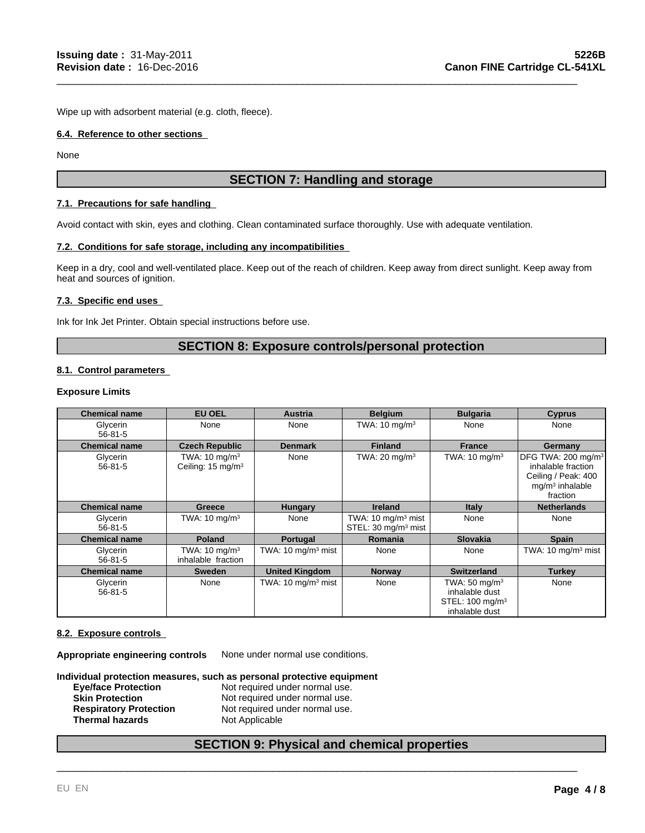Wipe up with adsorbent material (e.g. cloth, fleece).

#### **6.4. Reference to other sections**

None

# **SECTION 7: Handling and storage**

\_\_\_\_\_\_\_\_\_\_\_\_\_\_\_\_\_\_\_\_\_\_\_\_\_\_\_\_\_\_\_\_\_\_\_\_\_\_\_\_\_\_\_\_\_\_\_\_\_\_\_\_\_\_\_\_\_\_\_\_\_\_\_\_\_\_\_\_\_\_\_\_\_\_\_\_\_\_\_\_\_\_\_\_\_\_\_\_\_

#### **7.1. Precautions for safe handling**

Avoid contact with skin, eyes and clothing. Clean contaminated surface thoroughly. Use with adequate ventilation.

#### **7.2. Conditions for safe storage, including any incompatibilities**

Keep in a dry, cool and well-ventilated place. Keep out of the reach of children. Keep away from direct sunlight. Keep away from heat and sources of ignition.

# **7.3. Specific end uses**

Ink for Ink Jet Printer. Obtain special instructions before use.

# **SECTION 8: Exposure controls/personal protection**

# **8.1. Control parameters**

#### **Exposure Limits**

| <b>Chemical name</b>      | EU OEL                                                    | <b>Austria</b>                | <b>Belgium</b>                                                    | <b>Bulgaria</b>                                                                             | <b>Cyprus</b>                                                                                                |
|---------------------------|-----------------------------------------------------------|-------------------------------|-------------------------------------------------------------------|---------------------------------------------------------------------------------------------|--------------------------------------------------------------------------------------------------------------|
| Glycerin<br>$56 - 81 - 5$ | None                                                      | None                          | TWA: $10 \text{ mg/m}^3$                                          | None                                                                                        | None                                                                                                         |
| <b>Chemical name</b>      | <b>Czech Republic</b>                                     | <b>Denmark</b>                | <b>Finland</b>                                                    | <b>France</b>                                                                               | Germany                                                                                                      |
| Glycerin<br>$56 - 81 - 5$ | TWA: $10 \text{ mg/m}^3$<br>Ceiling: 15 mg/m <sup>3</sup> | None                          | TWA: $20 \text{ mg/m}^3$                                          | TWA: $10 \text{ mg/m}^3$                                                                    | DFG TWA: 200 mg/m <sup>3</sup><br>inhalable fraction<br>Ceiling / Peak: 400<br>$mg/m3$ inhalable<br>fraction |
| <b>Chemical name</b>      | Greece                                                    | <b>Hungary</b>                | <b>Ireland</b>                                                    | <b>Italy</b>                                                                                | <b>Netherlands</b>                                                                                           |
| Glycerin<br>$56 - 81 - 5$ | TWA: $10 \text{ mg/m}^3$                                  | None                          | TWA: 10 mg/m <sup>3</sup> mist<br>STEL: 30 mg/m <sup>3</sup> mist | None                                                                                        | None                                                                                                         |
| <b>Chemical name</b>      | <b>Poland</b>                                             | Portugal                      | <b>Romania</b>                                                    | <b>Slovakia</b>                                                                             | <b>Spain</b>                                                                                                 |
| Glycerin<br>$56 - 81 - 5$ | TWA: $10 \text{ mg/m}^3$<br>inhalable fraction            | TWA: $10 \text{ mg/m}^3$ mist | None                                                              | None                                                                                        | TWA: $10 \text{ mg/m}^3$ mist                                                                                |
| <b>Chemical name</b>      | <b>Sweden</b>                                             | <b>United Kingdom</b>         | <b>Norway</b>                                                     | <b>Switzerland</b>                                                                          | <b>Turkey</b>                                                                                                |
| Glycerin<br>$56 - 81 - 5$ | None                                                      | TWA: $10 \text{ mg/m}^3$ mist | None                                                              | TWA: $50 \text{ mg/m}^3$<br>inhalable dust<br>STEL: 100 mg/m <sup>3</sup><br>inhalable dust | None                                                                                                         |

#### **8.2. Exposure controls**

**Appropriate engineering controls** None under normal use conditions.

**Individual protection measures, such as personal protective equipment**

| <b>Eye/face Protection</b>    | Not required under normal use. |
|-------------------------------|--------------------------------|
| <b>Skin Protection</b>        | Not required under normal use. |
| <b>Respiratory Protection</b> | Not required under normal use. |
| <b>Thermal hazards</b>        | Not Applicable                 |

# **SECTION 9: Physical and chemical properties**

\_\_\_\_\_\_\_\_\_\_\_\_\_\_\_\_\_\_\_\_\_\_\_\_\_\_\_\_\_\_\_\_\_\_\_\_\_\_\_\_\_\_\_\_\_\_\_\_\_\_\_\_\_\_\_\_\_\_\_\_\_\_\_\_\_\_\_\_\_\_\_\_\_\_\_\_\_\_\_\_\_\_\_\_\_\_\_\_\_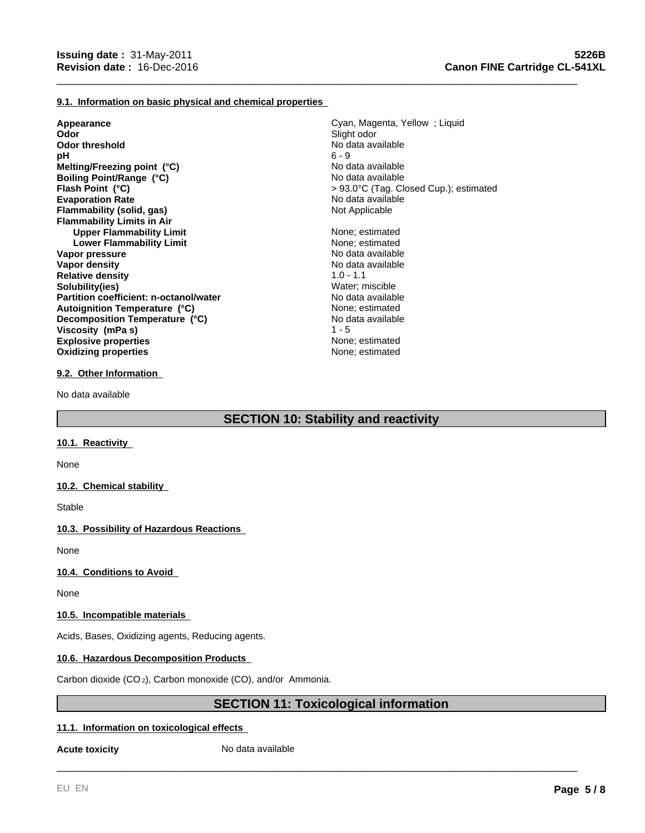#### **9.1. Information on basic physical and chemical properties**

**Appearance Cyan, Magenta, Yellow ; Liquid Cyan, Magenta, Yellow ; Liquid Cyan, Magenta, Yellow ; Liquid Cyan, Magenta, Yellow ; Liquid Cyan, Magenta, Yellow ; Liquid Cyan, Magenta, Yellow ; Liquid Cyan, Magenta, Yellow Odor** Slight odor<br> **Odor** threshold **Slight odor**<br> **Odor threshold Slight odor Odor threshold**<br> **pH** 6 - 9 **pH** 6 - 9 **Evaporation Rate No data available No data available No data available Flammability (solid, gas)** Not Applicable **Flammability Limits in Air Upper Flammability Limit** None; estimated<br> **Lower Flammability Limit** None: estimated<br>
None: estimated **Lower Flammability Limit** None; estimated<br>
None; estimated<br>
No data available **Vapor pressure Vapor density**<br> **Relative density**<br> **Relative density**<br> **Relative density**<br> **Relative density Relative density Solubility(ies)** Water; miscible **Partition coefficient: n-octanol/water** No data available **Explosive properties** None; estimated **Oxidizing properties** None; estimated **Decomposition Temperature (°C)**<br> **Viscosity (mPa s)**  $1 - 5$ <br>
1 - 5 **Boiling Point/Range (°C) Viscosity (mPa s) Melting/Freezing point (°C) Autoignition Temperature (°C)**

No data available No data available **Flash Point (°C)** > 93.0°C (Tag. Closed Cup.); estimated

None; estimated

\_\_\_\_\_\_\_\_\_\_\_\_\_\_\_\_\_\_\_\_\_\_\_\_\_\_\_\_\_\_\_\_\_\_\_\_\_\_\_\_\_\_\_\_\_\_\_\_\_\_\_\_\_\_\_\_\_\_\_\_\_\_\_\_\_\_\_\_\_\_\_\_\_\_\_\_\_\_\_\_\_\_\_\_\_\_\_\_\_

#### **9.2. Other Information**

No data available

# **SECTION 10: Stability and reactivity**

#### **10.1. Reactivity**

None

#### **10.2. Chemical stability**

Stable

# **10.3. Possibility of Hazardous Reactions**

None

# **10.4. Conditions to Avoid**

None

#### **10.5. Incompatible materials**

Acids, Bases, Oxidizing agents, Reducing agents.

# **10.6. Hazardous Decomposition Products**

Carbon dioxide (CO 2), Carbon monoxide (CO), and/or Ammonia.

# **SECTION 11: Toxicological information**

\_\_\_\_\_\_\_\_\_\_\_\_\_\_\_\_\_\_\_\_\_\_\_\_\_\_\_\_\_\_\_\_\_\_\_\_\_\_\_\_\_\_\_\_\_\_\_\_\_\_\_\_\_\_\_\_\_\_\_\_\_\_\_\_\_\_\_\_\_\_\_\_\_\_\_\_\_\_\_\_\_\_\_\_\_\_\_\_\_

# **11.1. Information on toxicological effects**

**Acute toxicity** No data available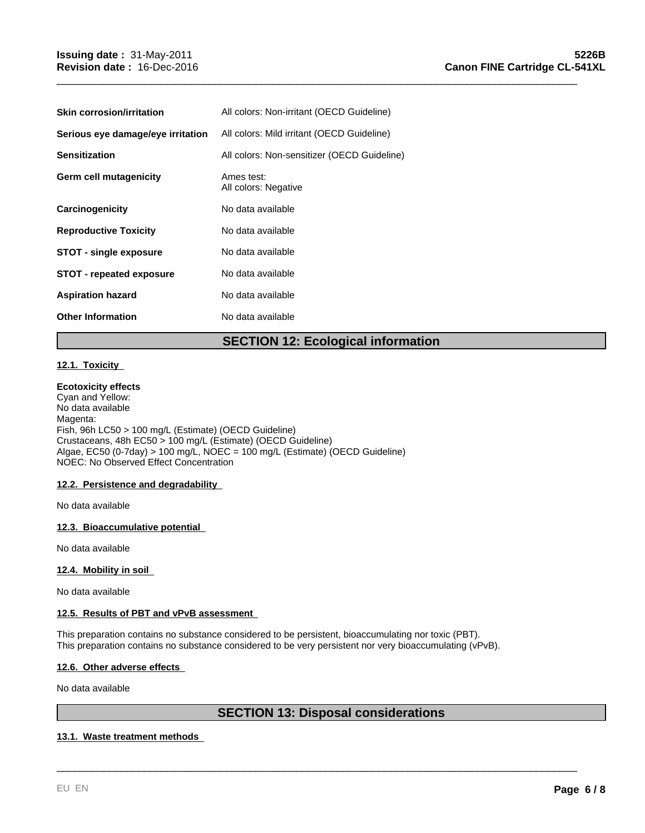| <b>Skin corrosion/irritation</b>  | All colors: Non-irritant (OECD Guideline)   |
|-----------------------------------|---------------------------------------------|
| Serious eye damage/eye irritation | All colors: Mild irritant (OECD Guideline)  |
| <b>Sensitization</b>              | All colors: Non-sensitizer (OECD Guideline) |
| Germ cell mutagenicity            | Ames test:<br>All colors: Negative          |
| Carcinogenicity                   | No data available                           |
| <b>Reproductive Toxicity</b>      | No data available                           |
| <b>STOT - single exposure</b>     | No data available                           |
| <b>STOT - repeated exposure</b>   | No data available                           |
| <b>Aspiration hazard</b>          | No data available                           |
| <b>Other Information</b>          | No data available                           |

# **SECTION 12: Ecological information**

\_\_\_\_\_\_\_\_\_\_\_\_\_\_\_\_\_\_\_\_\_\_\_\_\_\_\_\_\_\_\_\_\_\_\_\_\_\_\_\_\_\_\_\_\_\_\_\_\_\_\_\_\_\_\_\_\_\_\_\_\_\_\_\_\_\_\_\_\_\_\_\_\_\_\_\_\_\_\_\_\_\_\_\_\_\_\_\_\_

# **12.1. Toxicity**

#### **Ecotoxicity effects**

Cyan and Yellow: No data available Magenta: Fish, 96h LC50 > 100 mg/L (Estimate) (OECD Guideline) Crustaceans, 48h EC50 > 100 mg/L (Estimate) (OECD Guideline) Algae, EC50 (0-7day) > 100 mg/L, NOEC = 100 mg/L (Estimate) (OECD Guideline) NOEC: No Observed Effect Concentration

#### **12.2. Persistence and degradability**

No data available

#### **12.3. Bioaccumulative potential**

No data available

#### **12.4. Mobility in soil**

No data available

### **12.5. Results of PBT and vPvB assessment**

This preparation contains no substance considered to be persistent, bioaccumulating nor toxic (PBT). This preparation contains no substance considered to be very persistent nor very bioaccumulating (vPvB).

# **12.6. Other adverse effects**

No data available

# **SECTION 13: Disposal considerations**

\_\_\_\_\_\_\_\_\_\_\_\_\_\_\_\_\_\_\_\_\_\_\_\_\_\_\_\_\_\_\_\_\_\_\_\_\_\_\_\_\_\_\_\_\_\_\_\_\_\_\_\_\_\_\_\_\_\_\_\_\_\_\_\_\_\_\_\_\_\_\_\_\_\_\_\_\_\_\_\_\_\_\_\_\_\_\_\_\_

#### **13.1. Waste treatment methods**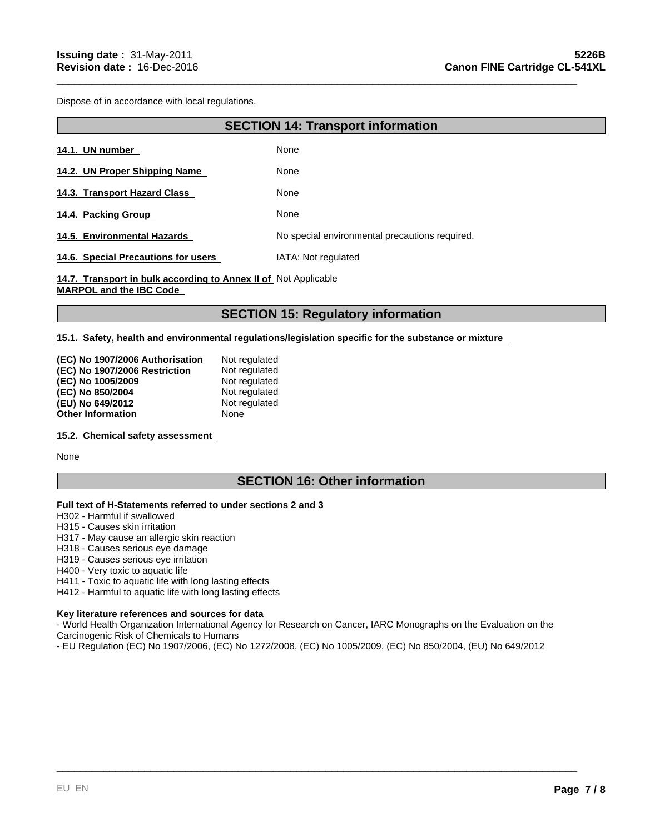Dispose of in accordance with local regulations.

# **SECTION 14: Transport information**

\_\_\_\_\_\_\_\_\_\_\_\_\_\_\_\_\_\_\_\_\_\_\_\_\_\_\_\_\_\_\_\_\_\_\_\_\_\_\_\_\_\_\_\_\_\_\_\_\_\_\_\_\_\_\_\_\_\_\_\_\_\_\_\_\_\_\_\_\_\_\_\_\_\_\_\_\_\_\_\_\_\_\_\_\_\_\_\_\_

| 14.1. UN number                     | None                                           |
|-------------------------------------|------------------------------------------------|
| 14.2. UN Proper Shipping Name       | None                                           |
| 14.3. Transport Hazard Class        | None                                           |
| 14.4. Packing Group                 | None                                           |
| 14.5. Environmental Hazards         | No special environmental precautions required. |
| 14.6. Special Precautions for users | IATA: Not regulated                            |

**14.7. Transport in bulk according to Annex II of**  Not Applicable **MARPOL and the IBC Code** 

# **SECTION 15: Regulatory information**

**15.1. Safety, health and environmental regulations/legislation specific for the substance or mixture** 

| (EC) No 1907/2006 Authorisation | Not regulated |
|---------------------------------|---------------|
| (EC) No 1907/2006 Restriction   | Not regulated |
| (EC) No 1005/2009               | Not regulated |
| (EC) No 850/2004                | Not regulated |
| (EU) No 649/2012                | Not regulated |
| <b>Other Information</b>        | None          |

#### **15.2. Chemical safety assessment**

None

# **SECTION 16: Other information**

#### **Full text of H-Statements referred to under sections 2 and 3**

H302 - Harmful if swallowed

H315 - Causes skin irritation

- H317 May cause an allergic skin reaction
- H318 Causes serious eye damage
- H319 Causes serious eye irritation

H400 - Very toxic to aquatic life

H411 - Toxic to aquatic life with long lasting effects

H412 - Harmful to aquatic life with long lasting effects

#### **Key literature references and sources for data**

- World Health Organization International Agency for Research on Cancer, IARC Monographs on the Evaluation on the Carcinogenic Risk of Chemicals to Humans

\_\_\_\_\_\_\_\_\_\_\_\_\_\_\_\_\_\_\_\_\_\_\_\_\_\_\_\_\_\_\_\_\_\_\_\_\_\_\_\_\_\_\_\_\_\_\_\_\_\_\_\_\_\_\_\_\_\_\_\_\_\_\_\_\_\_\_\_\_\_\_\_\_\_\_\_\_\_\_\_\_\_\_\_\_\_\_\_\_

- EU Regulation (EC) No 1907/2006, (EC) No 1272/2008, (EC) No 1005/2009, (EC) No 850/2004, (EU) No 649/2012